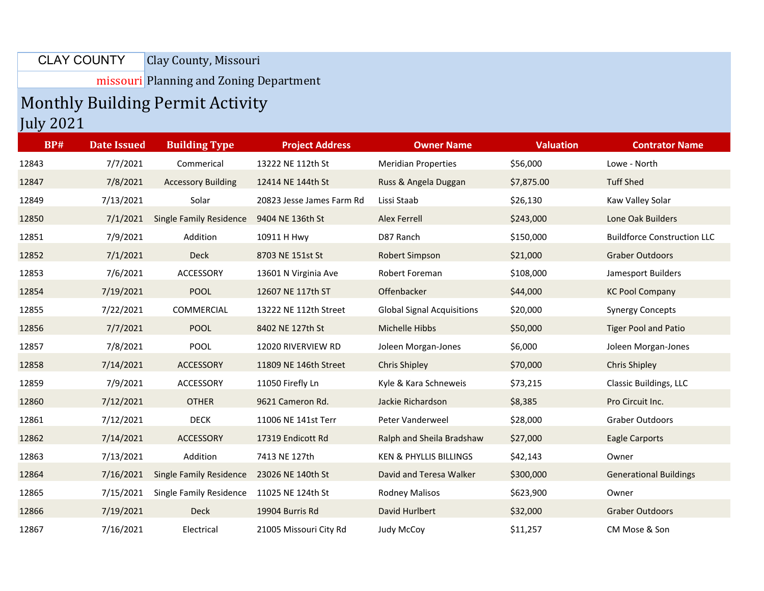Clay County, Missouri CLAY COUNTY

missouri Planning and Zoning Department

## Monthly Building Permit Activity July 2021

| <b>BP#</b> | <b>Date Issued</b> | <b>Building Type</b>           | <b>Project Address</b>    | <b>Owner Name</b>                 | <b>Valuation</b> | <b>Contrator Name</b>              |
|------------|--------------------|--------------------------------|---------------------------|-----------------------------------|------------------|------------------------------------|
| 12843      | 7/7/2021           | Commerical                     | 13222 NE 112th St         | <b>Meridian Properties</b>        | \$56,000         | Lowe - North                       |
| 12847      | 7/8/2021           | <b>Accessory Building</b>      | 12414 NE 144th St         | Russ & Angela Duggan              | \$7,875.00       | <b>Tuff Shed</b>                   |
| 12849      | 7/13/2021          | Solar                          | 20823 Jesse James Farm Rd | Lissi Staab                       | \$26,130         | Kaw Valley Solar                   |
| 12850      | 7/1/2021           | <b>Single Family Residence</b> | 9404 NE 136th St          | Alex Ferrell                      | \$243,000        | Lone Oak Builders                  |
| 12851      | 7/9/2021           | Addition                       | 10911 H Hwy               | D87 Ranch                         | \$150,000        | <b>Buildforce Construction LLC</b> |
| 12852      | 7/1/2021           | <b>Deck</b>                    | 8703 NE 151st St          | Robert Simpson                    | \$21,000         | <b>Graber Outdoors</b>             |
| 12853      | 7/6/2021           | ACCESSORY                      | 13601 N Virginia Ave      | Robert Foreman                    | \$108,000        | Jamesport Builders                 |
| 12854      | 7/19/2021          | <b>POOL</b>                    | 12607 NE 117th ST         | Offenbacker                       | \$44,000         | <b>KC Pool Company</b>             |
| 12855      | 7/22/2021          | COMMERCIAL                     | 13222 NE 112th Street     | <b>Global Signal Acquisitions</b> | \$20,000         | <b>Synergy Concepts</b>            |
| 12856      | 7/7/2021           | <b>POOL</b>                    | 8402 NE 127th St          | Michelle Hibbs                    | \$50,000         | <b>Tiger Pool and Patio</b>        |
| 12857      | 7/8/2021           | <b>POOL</b>                    | 12020 RIVERVIEW RD        | Joleen Morgan-Jones               | \$6,000          | Joleen Morgan-Jones                |
| 12858      | 7/14/2021          | ACCESSORY                      | 11809 NE 146th Street     | <b>Chris Shipley</b>              | \$70,000         | <b>Chris Shipley</b>               |
| 12859      | 7/9/2021           | ACCESSORY                      | 11050 Firefly Ln          | Kyle & Kara Schneweis             | \$73,215         | Classic Buildings, LLC             |
| 12860      | 7/12/2021          | <b>OTHER</b>                   | 9621 Cameron Rd.          | Jackie Richardson                 | \$8,385          | Pro Circuit Inc.                   |
| 12861      | 7/12/2021          | <b>DECK</b>                    | 11006 NE 141st Terr       | Peter Vanderweel                  | \$28,000         | Graber Outdoors                    |
| 12862      | 7/14/2021          | ACCESSORY                      | 17319 Endicott Rd         | Ralph and Sheila Bradshaw         | \$27,000         | <b>Eagle Carports</b>              |
| 12863      | 7/13/2021          | Addition                       | 7413 NE 127th             | <b>KEN &amp; PHYLLIS BILLINGS</b> | \$42,143         | Owner                              |
| 12864      | 7/16/2021          | <b>Single Family Residence</b> | 23026 NE 140th St         | David and Teresa Walker           | \$300,000        | <b>Generational Buildings</b>      |
| 12865      | 7/15/2021          | Single Family Residence        | 11025 NE 124th St         | <b>Rodney Malisos</b>             | \$623,900        | Owner                              |
| 12866      | 7/19/2021          | <b>Deck</b>                    | 19904 Burris Rd           | David Hurlbert                    | \$32,000         | <b>Graber Outdoors</b>             |
| 12867      | 7/16/2021          | Electrical                     | 21005 Missouri City Rd    | <b>Judy McCoy</b>                 | \$11,257         | CM Mose & Son                      |